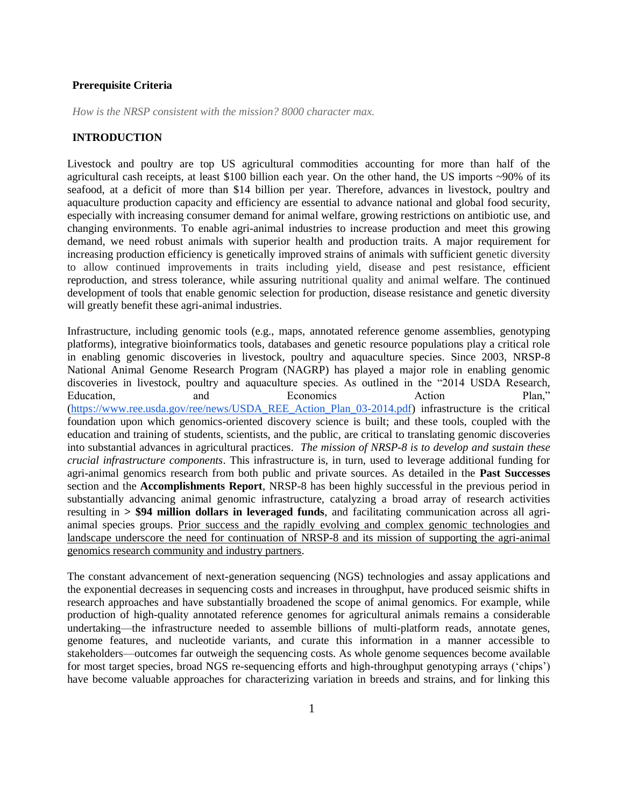### **Prerequisite Criteria**

*How is the NRSP consistent with the mission? 8000 character max.* 

## **INTRODUCTION**

Livestock and poultry are top US agricultural commodities accounting for more than half of the agricultural cash receipts, at least \$100 billion each year. On the other hand, the US imports ~90% of its seafood, at a deficit of more than \$14 billion per year. Therefore, advances in livestock, poultry and aquaculture production capacity and efficiency are essential to advance national and global food security, especially with increasing consumer demand for animal welfare, growing restrictions on antibiotic use, and changing environments. To enable agri-animal industries to increase production and meet this growing demand, we need robust animals with superior health and production traits. A major requirement for increasing production efficiency is genetically improved strains of animals with sufficient genetic diversity to allow continued improvements in traits including yield, disease and pest resistance, efficient reproduction, and stress tolerance, while assuring nutritional quality and animal welfare. The continued development of tools that enable genomic selection for production, disease resistance and genetic diversity will greatly benefit these agri-animal industries.

Infrastructure, including genomic tools (e.g., maps, annotated reference genome assemblies, genotyping platforms), integrative bioinformatics tools, databases and genetic resource populations play a critical role in enabling genomic discoveries in livestock, poultry and aquaculture species. Since 2003, NRSP-8 National Animal Genome Research Program (NAGRP) has played a major role in enabling genomic discoveries in livestock, poultry and aquaculture species. As outlined in the "2014 USDA Research, Education, and Economics Action Plan," [\(https://www.ree.usda.gov/ree/news/USDA\\_REE\\_Action\\_Plan\\_03-2014.pdf\)](https://www.ree.usda.gov/ree/news/USDA_REE_Action_Plan_03-2014.pdf) infrastructure is the critical foundation upon which genomics-oriented discovery science is built; and these tools, coupled with the education and training of students, scientists, and the public, are critical to translating genomic discoveries into substantial advances in agricultural practices. *The mission of NRSP-8 is to develop and sustain these crucial infrastructure components*. This infrastructure is, in turn, used to leverage additional funding for agri-animal genomics research from both public and private sources. As detailed in the **Past Successes** section and the **Accomplishments Report**, NRSP-8 has been highly successful in the previous period in substantially advancing animal genomic infrastructure, catalyzing a broad array of research activities resulting in **> \$94 million dollars in leveraged funds**, and facilitating communication across all agrianimal species groups. Prior success and the rapidly evolving and complex genomic technologies and landscape underscore the need for continuation of NRSP-8 and its mission of supporting the agri-animal genomics research community and industry partners.

The constant advancement of next-generation sequencing (NGS) technologies and assay applications and the exponential decreases in sequencing costs and increases in throughput, have produced seismic shifts in research approaches and have substantially broadened the scope of animal genomics. For example, while production of high-quality annotated reference genomes for agricultural animals remains a considerable undertaking—the infrastructure needed to assemble billions of multi-platform reads, annotate genes, genome features, and nucleotide variants, and curate this information in a manner accessible to stakeholders—outcomes far outweigh the sequencing costs. As whole genome sequences become available for most target species, broad NGS re-sequencing efforts and high-throughput genotyping arrays ('chips') have become valuable approaches for characterizing variation in breeds and strains, and for linking this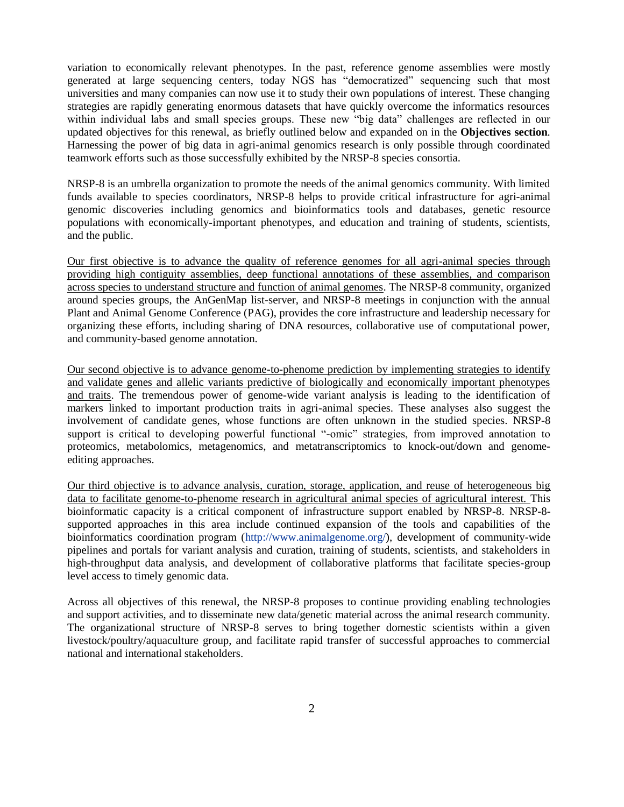variation to economically relevant phenotypes. In the past, reference genome assemblies were mostly generated at large sequencing centers, today NGS has "democratized" sequencing such that most universities and many companies can now use it to study their own populations of interest. These changing strategies are rapidly generating enormous datasets that have quickly overcome the informatics resources within individual labs and small species groups. These new "big data" challenges are reflected in our updated objectives for this renewal, as briefly outlined below and expanded on in the **Objectives section**. Harnessing the power of big data in agri-animal genomics research is only possible through coordinated teamwork efforts such as those successfully exhibited by the NRSP-8 species consortia.

NRSP-8 is an umbrella organization to promote the needs of the animal genomics community. With limited funds available to species coordinators, NRSP-8 helps to provide critical infrastructure for agri-animal genomic discoveries including genomics and bioinformatics tools and databases, genetic resource populations with economically-important phenotypes, and education and training of students, scientists, and the public.

Our first objective is to advance the quality of reference genomes for all agri-animal species through providing high contiguity assemblies, deep functional annotations of these assemblies, and comparison across species to understand structure and function of animal genomes. The NRSP-8 community, organized around species groups, the AnGenMap list-server, and NRSP-8 meetings in conjunction with the annual Plant and Animal Genome Conference (PAG), provides the core infrastructure and leadership necessary for organizing these efforts, including sharing of DNA resources, collaborative use of computational power, and community-based genome annotation.

Our second objective is to advance genome-to-phenome prediction by implementing strategies to identify and validate genes and allelic variants predictive of biologically and economically important phenotypes and traits. The tremendous power of genome-wide variant analysis is leading to the identification of markers linked to important production traits in agri-animal species. These analyses also suggest the involvement of candidate genes, whose functions are often unknown in the studied species. NRSP-8 support is critical to developing powerful functional "-omic" strategies, from improved annotation to proteomics, metabolomics, metagenomics, and metatranscriptomics to knock-out/down and genomeediting approaches.

Our third objective is to advance analysis, curation, storage, application, and reuse of heterogeneous big data to facilitate genome-to-phenome research in agricultural animal species of agricultural interest. This bioinformatic capacity is a critical component of infrastructure support enabled by NRSP-8. NRSP-8 supported approaches in this area include continued expansion of the tools and capabilities of the bioinformatics coordination program [\(http://www.animalgenome.org/\)](http://www.animalgenome.org/), development of community-wide pipelines and portals for variant analysis and curation, training of students, scientists, and stakeholders in high-throughput data analysis, and development of collaborative platforms that facilitate species-group level access to timely genomic data.

Across all objectives of this renewal, the NRSP-8 proposes to continue providing enabling technologies and support activities, and to disseminate new data/genetic material across the animal research community. The organizational structure of NRSP-8 serves to bring together domestic scientists within a given livestock/poultry/aquaculture group, and facilitate rapid transfer of successful approaches to commercial national and international stakeholders.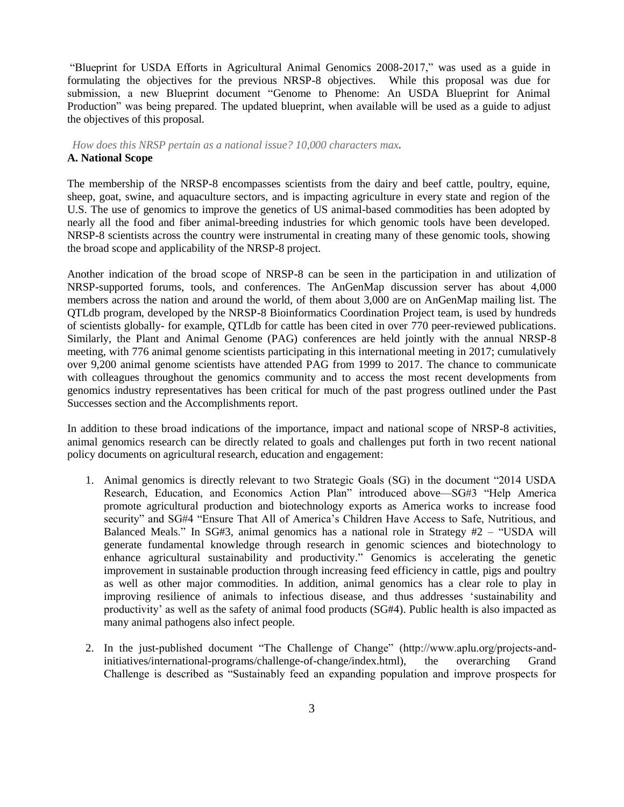"Blueprint for USDA Efforts in Agricultural Animal Genomics 2008-2017," was used as a guide in formulating the objectives for the previous NRSP-8 objectives. While this proposal was due for submission, a new Blueprint document "Genome to Phenome: An USDA Blueprint for Animal Production" was being prepared. The updated blueprint, when available will be used as a guide to adjust the objectives of this proposal.

# *How does this NRSP pertain as a national issue? 10,000 characters max.* **A. National Scope**

The membership of the NRSP-8 encompasses scientists from the dairy and beef cattle, poultry, equine, sheep, goat, swine, and aquaculture sectors, and is impacting agriculture in every state and region of the U.S. The use of genomics to improve the genetics of US animal-based commodities has been adopted by nearly all the food and fiber animal-breeding industries for which genomic tools have been developed. NRSP-8 scientists across the country were instrumental in creating many of these genomic tools, showing the broad scope and applicability of the NRSP-8 project.

Another indication of the broad scope of NRSP-8 can be seen in the participation in and utilization of NRSP-supported forums, tools, and conferences. The AnGenMap discussion server has about 4,000 members across the nation and around the world, of them about 3,000 are on AnGenMap mailing list. The QTLdb program, developed by the NRSP-8 Bioinformatics Coordination Project team, is used by hundreds of scientists globally- for example, QTLdb for cattle has been cited in over 770 peer-reviewed publications. Similarly, the Plant and Animal Genome (PAG) conferences are held jointly with the annual NRSP-8 meeting, with 776 animal genome scientists participating in this international meeting in 2017; cumulatively over 9,200 animal genome scientists have attended PAG from 1999 to 2017. The chance to communicate with colleagues throughout the genomics community and to access the most recent developments from genomics industry representatives has been critical for much of the past progress outlined under the Past Successes section and the Accomplishments report.

In addition to these broad indications of the importance, impact and national scope of NRSP-8 activities, animal genomics research can be directly related to goals and challenges put forth in two recent national policy documents on agricultural research, education and engagement:

- 1. Animal genomics is directly relevant to two Strategic Goals (SG) in the document "2014 USDA Research, Education, and Economics Action Plan" introduced above—SG#3 "Help America promote agricultural production and biotechnology exports as America works to increase food security" and SG#4 "Ensure That All of America's Children Have Access to Safe, Nutritious, and Balanced Meals." In SG#3, animal genomics has a national role in Strategy  $#2 - "USDA will$ generate fundamental knowledge through research in genomic sciences and biotechnology to enhance agricultural sustainability and productivity." Genomics is accelerating the genetic improvement in sustainable production through increasing feed efficiency in cattle, pigs and poultry as well as other major commodities. In addition, animal genomics has a clear role to play in improving resilience of animals to infectious disease, and thus addresses 'sustainability and productivity' as well as the safety of animal food products (SG#4). Public health is also impacted as many animal pathogens also infect people.
- 2. In the just-published document "The Challenge of Change" (http://www.aplu.org/projects-andinitiatives/international-programs/challenge-of-change/index.html), the overarching Grand Challenge is described as "Sustainably feed an expanding population and improve prospects for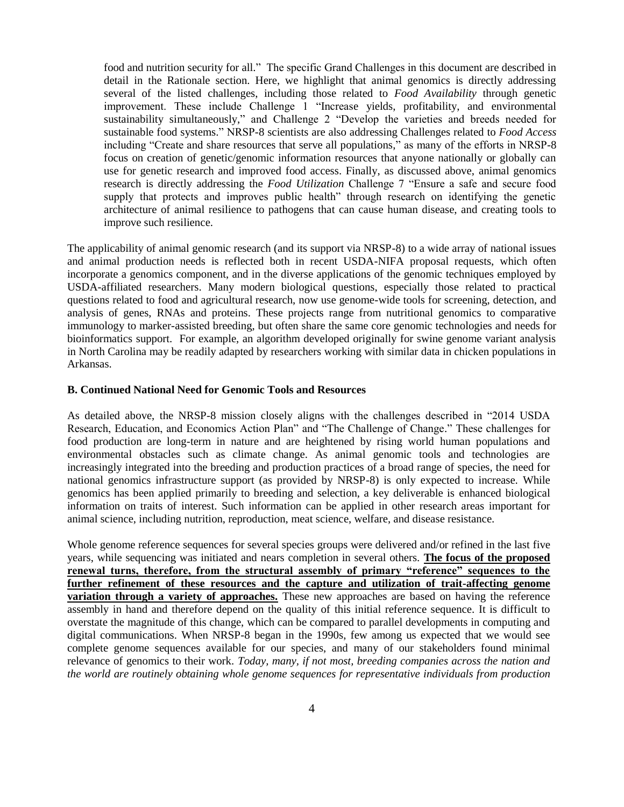food and nutrition security for all." The specific Grand Challenges in this document are described in detail in the Rationale section. Here, we highlight that animal genomics is directly addressing several of the listed challenges, including those related to *Food Availability* through genetic improvement. These include Challenge 1 "Increase yields, profitability, and environmental sustainability simultaneously," and Challenge 2 "Develop the varieties and breeds needed for sustainable food systems." NRSP-8 scientists are also addressing Challenges related to *Food Access* including "Create and share resources that serve all populations," as many of the efforts in NRSP-8 focus on creation of genetic/genomic information resources that anyone nationally or globally can use for genetic research and improved food access. Finally, as discussed above, animal genomics research is directly addressing the *Food Utilization* Challenge 7 "Ensure a safe and secure food supply that protects and improves public health" through research on identifying the genetic architecture of animal resilience to pathogens that can cause human disease, and creating tools to improve such resilience.

The applicability of animal genomic research (and its support via NRSP-8) to a wide array of national issues and animal production needs is reflected both in recent USDA-NIFA proposal requests, which often incorporate a genomics component, and in the diverse applications of the genomic techniques employed by USDA-affiliated researchers. Many modern biological questions, especially those related to practical questions related to food and agricultural research, now use genome-wide tools for screening, detection, and analysis of genes, RNAs and proteins. These projects range from nutritional genomics to comparative immunology to marker-assisted breeding, but often share the same core genomic technologies and needs for bioinformatics support. For example, an algorithm developed originally for swine genome variant analysis in North Carolina may be readily adapted by researchers working with similar data in chicken populations in Arkansas.

#### **B. Continued National Need for Genomic Tools and Resources**

As detailed above, the NRSP-8 mission closely aligns with the challenges described in "2014 USDA Research, Education, and Economics Action Plan" and "The Challenge of Change." These challenges for food production are long-term in nature and are heightened by rising world human populations and environmental obstacles such as climate change. As animal genomic tools and technologies are increasingly integrated into the breeding and production practices of a broad range of species, the need for national genomics infrastructure support (as provided by NRSP-8) is only expected to increase. While genomics has been applied primarily to breeding and selection, a key deliverable is enhanced biological information on traits of interest. Such information can be applied in other research areas important for animal science, including nutrition, reproduction, meat science, welfare, and disease resistance.

Whole genome reference sequences for several species groups were delivered and/or refined in the last five years, while sequencing was initiated and nears completion in several others. **The focus of the proposed renewal turns, therefore, from the structural assembly of primary "reference" sequences to the further refinement of these resources and the capture and utilization of trait-affecting genome variation through a variety of approaches.** These new approaches are based on having the reference assembly in hand and therefore depend on the quality of this initial reference sequence. It is difficult to overstate the magnitude of this change, which can be compared to parallel developments in computing and digital communications. When NRSP-8 began in the 1990s, few among us expected that we would see complete genome sequences available for our species, and many of our stakeholders found minimal relevance of genomics to their work. *Today, many, if not most, breeding companies across the nation and the world are routinely obtaining whole genome sequences for representative individuals from production*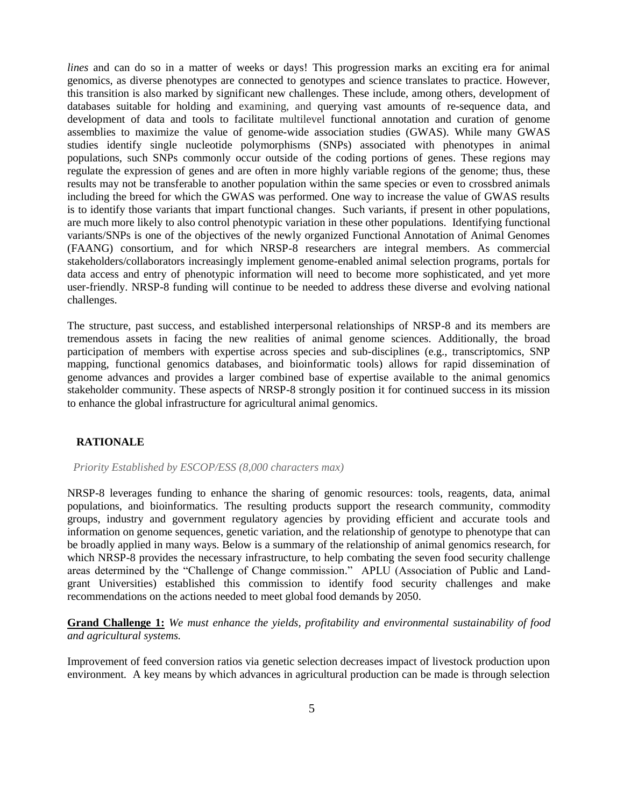*lines* and can do so in a matter of weeks or days! This progression marks an exciting era for animal genomics, as diverse phenotypes are connected to genotypes and science translates to practice. However, this transition is also marked by significant new challenges. These include, among others, development of databases suitable for holding and examining, and querying vast amounts of re-sequence data, and development of data and tools to facilitate multilevel functional annotation and curation of genome assemblies to maximize the value of genome-wide association studies (GWAS). While many GWAS studies identify single nucleotide polymorphisms (SNPs) associated with phenotypes in animal populations, such SNPs commonly occur outside of the coding portions of genes. These regions may regulate the expression of genes and are often in more highly variable regions of the genome; thus, these results may not be transferable to another population within the same species or even to crossbred animals including the breed for which the GWAS was performed. One way to increase the value of GWAS results is to identify those variants that impart functional changes. Such variants, if present in other populations, are much more likely to also control phenotypic variation in these other populations. Identifying functional variants/SNPs is one of the objectives of the newly organized Functional Annotation of Animal Genomes (FAANG) consortium, and for which NRSP-8 researchers are integral members. As commercial stakeholders/collaborators increasingly implement genome-enabled animal selection programs, portals for data access and entry of phenotypic information will need to become more sophisticated, and yet more user-friendly. NRSP-8 funding will continue to be needed to address these diverse and evolving national challenges.

The structure, past success, and established interpersonal relationships of NRSP-8 and its members are tremendous assets in facing the new realities of animal genome sciences. Additionally, the broad participation of members with expertise across species and sub-disciplines (e.g., transcriptomics, SNP mapping, functional genomics databases, and bioinformatic tools) allows for rapid dissemination of genome advances and provides a larger combined base of expertise available to the animal genomics stakeholder community. These aspects of NRSP-8 strongly position it for continued success in its mission to enhance the global infrastructure for agricultural animal genomics.

### **RATIONALE**

#### *Priority Established by ESCOP/ESS (8,000 characters max)*

NRSP-8 leverages funding to enhance the sharing of genomic resources: tools, reagents, data, animal populations, and bioinformatics. The resulting products support the research community, commodity groups, industry and government regulatory agencies by providing efficient and accurate tools and information on genome sequences, genetic variation, and the relationship of genotype to phenotype that can be broadly applied in many ways. Below is a summary of the relationship of animal genomics research, for which NRSP-8 provides the necessary infrastructure, to help combating the seven food security challenge areas determined by the "Challenge of Change commission." APLU (Association of Public and Landgrant Universities) established this commission to identify food security challenges and make recommendations on the actions needed to meet global food demands by 2050.

**Grand Challenge 1:** *We must enhance the yields, profitability and environmental sustainability of food and agricultural systems.*

Improvement of feed conversion ratios via genetic selection decreases impact of livestock production upon environment. A key means by which advances in agricultural production can be made is through selection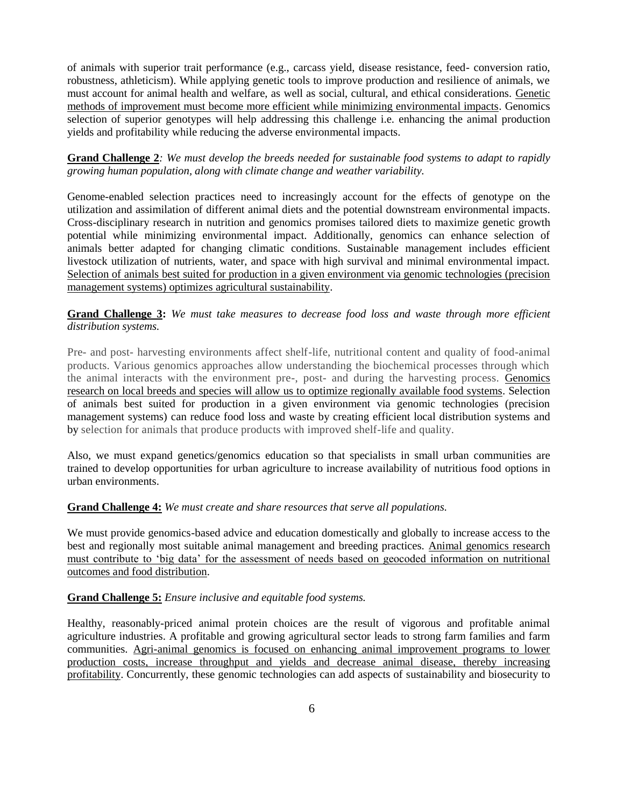of animals with superior trait performance (e.g., carcass yield, disease resistance, feed- conversion ratio, robustness, athleticism). While applying genetic tools to improve production and resilience of animals, we must account for animal health and welfare, as well as social, cultural, and ethical considerations. Genetic methods of improvement must become more efficient while minimizing environmental impacts. Genomics selection of superior genotypes will help addressing this challenge i.e. enhancing the animal production yields and profitability while reducing the adverse environmental impacts.

**Grand Challenge 2***: We must develop the breeds needed for sustainable food systems to adapt to rapidly growing human population, along with climate change and weather variability.*

Genome-enabled selection practices need to increasingly account for the effects of genotype on the utilization and assimilation of different animal diets and the potential downstream environmental impacts. Cross-disciplinary research in nutrition and genomics promises tailored diets to maximize genetic growth potential while minimizing environmental impact. Additionally, genomics can enhance selection of animals better adapted for changing climatic conditions. Sustainable management includes efficient livestock utilization of nutrients, water, and space with high survival and minimal environmental impact. Selection of animals best suited for production in a given environment via genomic technologies (precision management systems) optimizes agricultural sustainability.

**Grand Challenge 3:** *We must take measures to decrease food loss and waste through more efficient distribution systems.*

Pre- and post- harvesting environments affect shelf-life, nutritional content and quality of food-animal products. Various genomics approaches allow understanding the biochemical processes through which the animal interacts with the environment pre-, post- and during the harvesting process. Genomics research on local breeds and species will allow us to optimize regionally available food systems. Selection of animals best suited for production in a given environment via genomic technologies (precision management systems) can reduce food loss and waste by creating efficient local distribution systems and by selection for animals that produce products with improved shelf-life and quality.

Also, we must expand genetics/genomics education so that specialists in small urban communities are trained to develop opportunities for urban agriculture to increase availability of nutritious food options in urban environments.

## **Grand Challenge 4:** *We must create and share resources that serve all populations.*

We must provide genomics-based advice and education domestically and globally to increase access to the best and regionally most suitable animal management and breeding practices. Animal genomics research must contribute to 'big data' for the assessment of needs based on geocoded information on nutritional outcomes and food distribution.

## **Grand Challenge 5:** *Ensure inclusive and equitable food systems.*

Healthy, reasonably-priced animal protein choices are the result of vigorous and profitable animal agriculture industries. A profitable and growing agricultural sector leads to strong farm families and farm communities. Agri-animal genomics is focused on enhancing animal improvement programs to lower production costs, increase throughput and yields and decrease animal disease, thereby increasing profitability. Concurrently, these genomic technologies can add aspects of sustainability and biosecurity to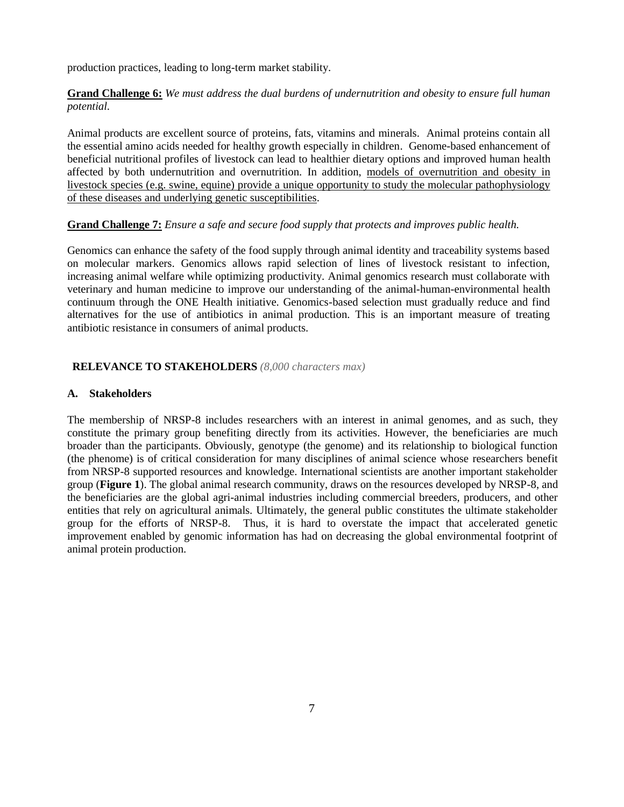production practices, leading to long-term market stability.

# **Grand Challenge 6:** *We must address the dual burdens of undernutrition and obesity to ensure full human potential.*

Animal products are excellent source of proteins, fats, vitamins and minerals. Animal proteins contain all the essential amino acids needed for healthy growth especially in children. Genome-based enhancement of beneficial nutritional profiles of livestock can lead to healthier dietary options and improved human health affected by both undernutrition and overnutrition. In addition, models of overnutrition and obesity in livestock species (e.g. swine, equine) provide a unique opportunity to study the molecular pathophysiology of these diseases and underlying genetic susceptibilities.

# **Grand Challenge 7:** *Ensure a safe and secure food supply that protects and improves public health.*

Genomics can enhance the safety of the food supply through animal identity and traceability systems based on molecular markers. Genomics allows rapid selection of lines of livestock resistant to infection, increasing animal welfare while optimizing productivity. Animal genomics research must collaborate with veterinary and human medicine to improve our understanding of the animal-human-environmental health continuum through the ONE Health initiative. Genomics-based selection must gradually reduce and find alternatives for the use of antibiotics in animal production. This is an important measure of treating antibiotic resistance in consumers of animal products.

# **RELEVANCE TO STAKEHOLDERS** *(8,000 characters max)*

## **A. Stakeholders**

The membership of NRSP-8 includes researchers with an interest in animal genomes, and as such, they constitute the primary group benefiting directly from its activities. However, the beneficiaries are much broader than the participants. Obviously, genotype (the genome) and its relationship to biological function (the phenome) is of critical consideration for many disciplines of animal science whose researchers benefit from NRSP-8 supported resources and knowledge. International scientists are another important stakeholder group (**Figure 1**). The global animal research community, draws on the resources developed by NRSP-8, and the beneficiaries are the global agri-animal industries including commercial breeders, producers, and other entities that rely on agricultural animals. Ultimately, the general public constitutes the ultimate stakeholder group for the efforts of NRSP-8. Thus, it is hard to overstate the impact that accelerated genetic improvement enabled by genomic information has had on decreasing the global environmental footprint of animal protein production.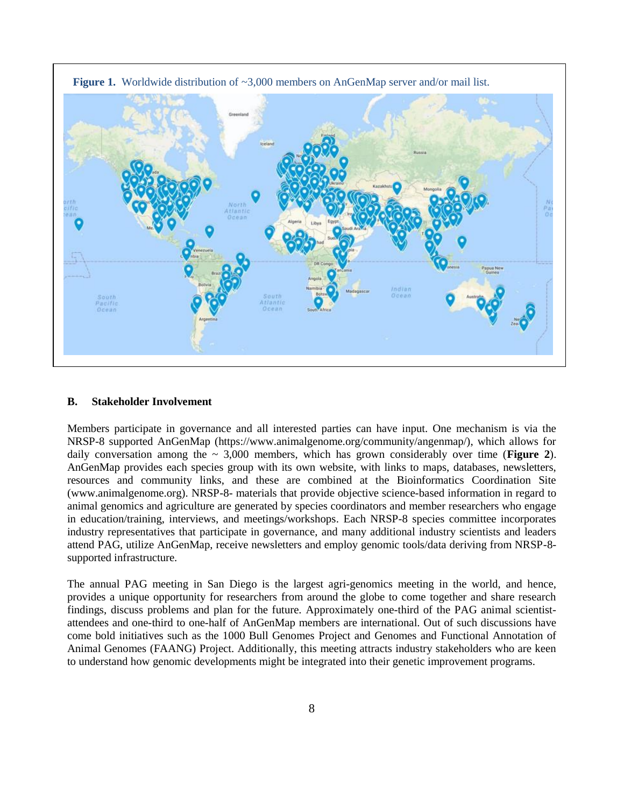



#### **B. Stakeholder Involvement**

Members participate in governance and all interested parties can have input. One mechanism is via the NRSP-8 supported AnGenMap (https://www.animalgenome.org/community/angenmap/), which allows for daily conversation among the  $\sim 3,000$  members, which has grown considerably over time (**Figure 2**). AnGenMap provides each species group with its own website, with links to maps, databases, newsletters, resources and community links, and these are combined at the Bioinformatics Coordination Site (www.animalgenome.org). NRSP-8- materials that provide objective science-based information in regard to animal genomics and agriculture are generated by species coordinators and member researchers who engage in education/training, interviews, and meetings/workshops. Each NRSP-8 species committee incorporates industry representatives that participate in governance, and many additional industry scientists and leaders attend PAG, utilize AnGenMap, receive newsletters and employ genomic tools/data deriving from NRSP-8 supported infrastructure.

The annual PAG meeting in San Diego is the largest agri-genomics meeting in the world, and hence, provides a unique opportunity for researchers from around the globe to come together and share research findings, discuss problems and plan for the future. Approximately one-third of the PAG animal scientistattendees and one-third to one-half of AnGenMap members are international. Out of such discussions have come bold initiatives such as the 1000 Bull Genomes Project and Genomes and Functional Annotation of Animal Genomes (FAANG) Project. Additionally, this meeting attracts industry stakeholders who are keen to understand how genomic developments might be integrated into their genetic improvement programs.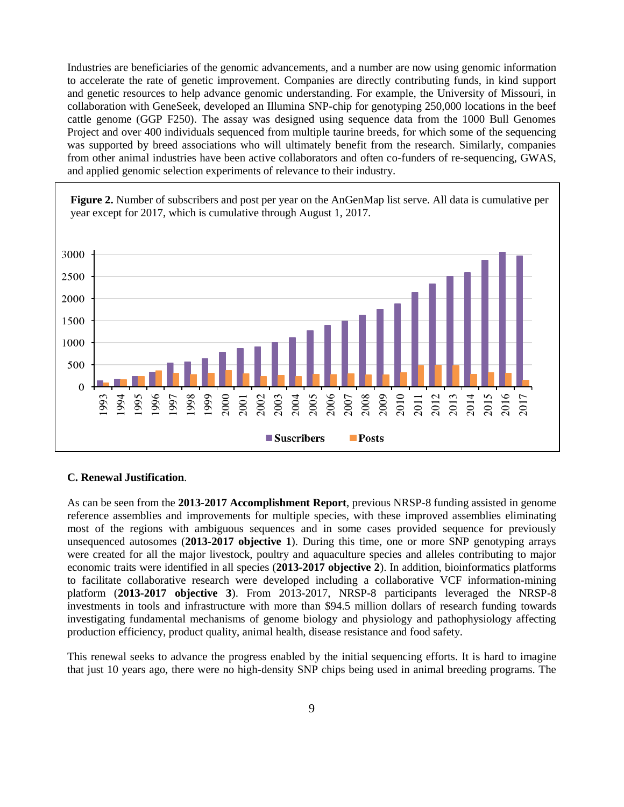Industries are beneficiaries of the genomic advancements, and a number are now using genomic information to accelerate the rate of genetic improvement. Companies are directly contributing funds, in kind support and genetic resources to help advance genomic understanding. For example, the University of Missouri, in collaboration with GeneSeek, developed an Illumina SNP-chip for genotyping 250,000 locations in the beef cattle genome (GGP F250). The assay was designed using sequence data from the 1000 Bull Genomes Project and over 400 individuals sequenced from multiple taurine breeds, for which some of the sequencing was supported by breed associations who will ultimately benefit from the research. Similarly, companies from other animal industries have been active collaborators and often co-funders of re-sequencing, GWAS, and applied genomic selection experiments of relevance to their industry.

**Figure 2.** Number of subscribers and post per year on the AnGenMap list serve. All data is cumulative per year except for 2017, which is cumulative through August 1, 2017.



# **C. Renewal Justification**.

As can be seen from the **2013-2017 Accomplishment Report**, previous NRSP-8 funding assisted in genome reference assemblies and improvements for multiple species, with these improved assemblies eliminating most of the regions with ambiguous sequences and in some cases provided sequence for previously unsequenced autosomes (**2013-2017 objective 1**). During this time, one or more SNP genotyping arrays were created for all the major livestock, poultry and aquaculture species and alleles contributing to major economic traits were identified in all species (**2013-2017 objective 2**). In addition, bioinformatics platforms to facilitate collaborative research were developed including a collaborative VCF information-mining platform (**2013-2017 objective 3**). From 2013-2017, NRSP-8 participants leveraged the NRSP-8 investments in tools and infrastructure with more than \$94.5 million dollars of research funding towards investigating fundamental mechanisms of genome biology and physiology and pathophysiology affecting production efficiency, product quality, animal health, disease resistance and food safety.

This renewal seeks to advance the progress enabled by the initial sequencing efforts. It is hard to imagine that just 10 years ago, there were no high-density SNP chips being used in animal breeding programs. The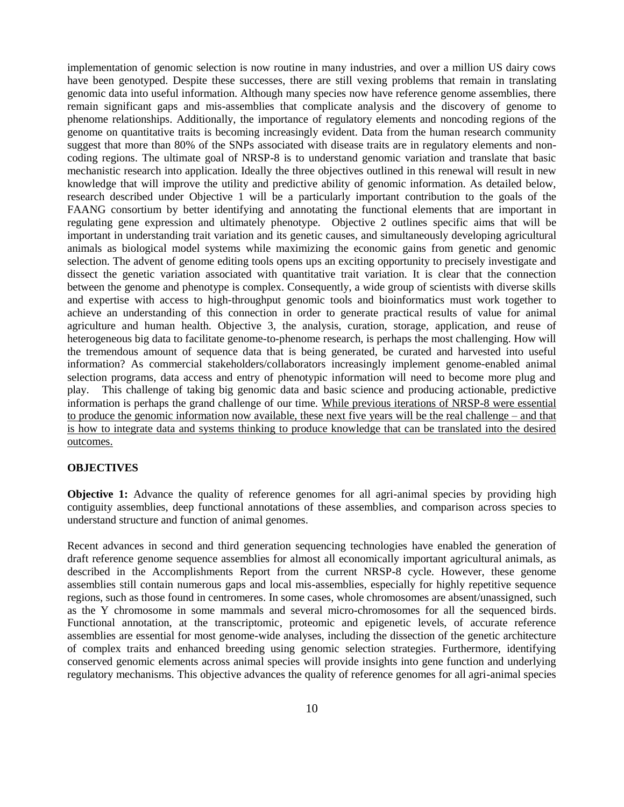implementation of genomic selection is now routine in many industries, and over a million US dairy cows have been genotyped. Despite these successes, there are still vexing problems that remain in translating genomic data into useful information. Although many species now have reference genome assemblies, there remain significant gaps and mis-assemblies that complicate analysis and the discovery of genome to phenome relationships. Additionally, the importance of regulatory elements and noncoding regions of the genome on quantitative traits is becoming increasingly evident. Data from the human research community suggest that more than 80% of the SNPs associated with disease traits are in regulatory elements and noncoding regions. The ultimate goal of NRSP-8 is to understand genomic variation and translate that basic mechanistic research into application. Ideally the three objectives outlined in this renewal will result in new knowledge that will improve the utility and predictive ability of genomic information. As detailed below, research described under Objective 1 will be a particularly important contribution to the goals of the FAANG consortium by better identifying and annotating the functional elements that are important in regulating gene expression and ultimately phenotype. Objective 2 outlines specific aims that will be important in understanding trait variation and its genetic causes, and simultaneously developing agricultural animals as biological model systems while maximizing the economic gains from genetic and genomic selection. The advent of genome editing tools opens ups an exciting opportunity to precisely investigate and dissect the genetic variation associated with quantitative trait variation. It is clear that the connection between the genome and phenotype is complex. Consequently, a wide group of scientists with diverse skills and expertise with access to high-throughput genomic tools and bioinformatics must work together to achieve an understanding of this connection in order to generate practical results of value for animal agriculture and human health. Objective 3, the analysis, curation, storage, application, and reuse of heterogeneous big data to facilitate genome-to-phenome research, is perhaps the most challenging. How will the tremendous amount of sequence data that is being generated, be curated and harvested into useful information? As commercial stakeholders/collaborators increasingly implement genome-enabled animal selection programs, data access and entry of phenotypic information will need to become more plug and play. This challenge of taking big genomic data and basic science and producing actionable, predictive information is perhaps the grand challenge of our time. While previous iterations of NRSP-8 were essential to produce the genomic information now available, these next five years will be the real challenge – and that is how to integrate data and systems thinking to produce knowledge that can be translated into the desired outcomes.

### **OBJECTIVES**

**Objective 1:** Advance the quality of reference genomes for all agri-animal species by providing high contiguity assemblies, deep functional annotations of these assemblies, and comparison across species to understand structure and function of animal genomes.

Recent advances in second and third generation sequencing technologies have enabled the generation of draft reference genome sequence assemblies for almost all economically important agricultural animals, as described in the Accomplishments Report from the current NRSP-8 cycle. However, these genome assemblies still contain numerous gaps and local mis-assemblies, especially for highly repetitive sequence regions, such as those found in centromeres. In some cases, whole chromosomes are absent/unassigned, such as the Y chromosome in some mammals and several micro-chromosomes for all the sequenced birds. Functional annotation, at the transcriptomic, proteomic and epigenetic levels, of accurate reference assemblies are essential for most genome-wide analyses, including the dissection of the genetic architecture of complex traits and enhanced breeding using genomic selection strategies. Furthermore, identifying conserved genomic elements across animal species will provide insights into gene function and underlying regulatory mechanisms. This objective advances the quality of reference genomes for all agri-animal species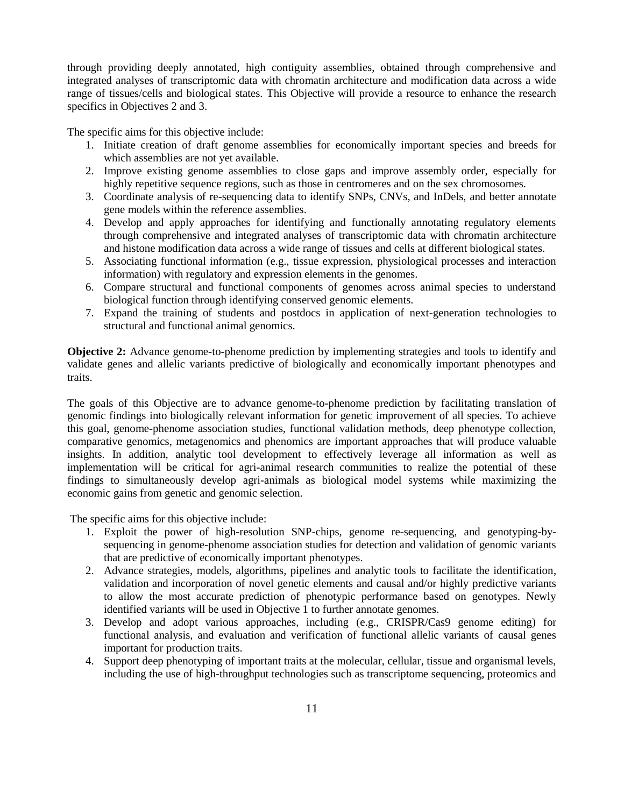through providing deeply annotated, high contiguity assemblies, obtained through comprehensive and integrated analyses of transcriptomic data with chromatin architecture and modification data across a wide range of tissues/cells and biological states. This Objective will provide a resource to enhance the research specifics in Objectives 2 and 3.

The specific aims for this objective include:

- 1. Initiate creation of draft genome assemblies for economically important species and breeds for which assemblies are not yet available.
- 2. Improve existing genome assemblies to close gaps and improve assembly order, especially for highly repetitive sequence regions, such as those in centromeres and on the sex chromosomes.
- 3. Coordinate analysis of re-sequencing data to identify SNPs, CNVs, and InDels, and better annotate gene models within the reference assemblies.
- 4. Develop and apply approaches for identifying and functionally annotating regulatory elements through comprehensive and integrated analyses of transcriptomic data with chromatin architecture and histone modification data across a wide range of tissues and cells at different biological states.
- 5. Associating functional information (e.g., tissue expression, physiological processes and interaction information) with regulatory and expression elements in the genomes.
- 6. Compare structural and functional components of genomes across animal species to understand biological function through identifying conserved genomic elements.
- 7. Expand the training of students and postdocs in application of next-generation technologies to structural and functional animal genomics.

**Objective 2:** Advance genome-to-phenome prediction by implementing strategies and tools to identify and validate genes and allelic variants predictive of biologically and economically important phenotypes and traits.

The goals of this Objective are to advance genome-to-phenome prediction by facilitating translation of genomic findings into biologically relevant information for genetic improvement of all species. To achieve this goal, genome-phenome association studies, functional validation methods, deep phenotype collection, comparative genomics, metagenomics and phenomics are important approaches that will produce valuable insights. In addition, analytic tool development to effectively leverage all information as well as implementation will be critical for agri-animal research communities to realize the potential of these findings to simultaneously develop agri-animals as biological model systems while maximizing the economic gains from genetic and genomic selection.

The specific aims for this objective include:

- 1. Exploit the power of high-resolution SNP-chips, genome re-sequencing, and genotyping-bysequencing in genome-phenome association studies for detection and validation of genomic variants that are predictive of economically important phenotypes.
- 2. Advance strategies, models, algorithms, pipelines and analytic tools to facilitate the identification, validation and incorporation of novel genetic elements and causal and/or highly predictive variants to allow the most accurate prediction of phenotypic performance based on genotypes. Newly identified variants will be used in Objective 1 to further annotate genomes.
- 3. Develop and adopt various approaches, including (e.g., CRISPR/Cas9 genome editing) for functional analysis, and evaluation and verification of functional allelic variants of causal genes important for production traits.
- 4. Support deep phenotyping of important traits at the molecular, cellular, tissue and organismal levels, including the use of high-throughput technologies such as transcriptome sequencing, proteomics and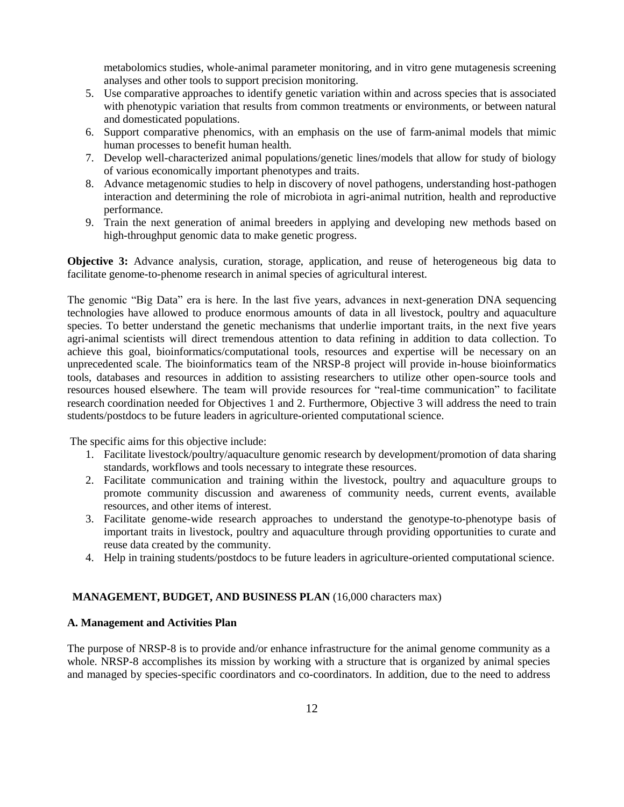metabolomics studies, whole-animal parameter monitoring, and in vitro gene mutagenesis screening analyses and other tools to support precision monitoring.

- 5. Use comparative approaches to identify genetic variation within and across species that is associated with phenotypic variation that results from common treatments or environments, or between natural and domesticated populations.
- 6. Support comparative phenomics, with an emphasis on the use of farm-animal models that mimic human processes to benefit human health.
- 7. Develop well-characterized animal populations/genetic lines/models that allow for study of biology of various economically important phenotypes and traits.
- 8. Advance metagenomic studies to help in discovery of novel pathogens, understanding host-pathogen interaction and determining the role of microbiota in agri-animal nutrition, health and reproductive performance.
- 9. Train the next generation of animal breeders in applying and developing new methods based on high-throughput genomic data to make genetic progress.

**Objective 3:** Advance analysis, curation, storage, application, and reuse of heterogeneous big data to facilitate genome-to-phenome research in animal species of agricultural interest.

The genomic "Big Data" era is here. In the last five years, advances in next-generation DNA sequencing technologies have allowed to produce enormous amounts of data in all livestock, poultry and aquaculture species. To better understand the genetic mechanisms that underlie important traits, in the next five years agri-animal scientists will direct tremendous attention to data refining in addition to data collection. To achieve this goal, bioinformatics/computational tools, resources and expertise will be necessary on an unprecedented scale. The bioinformatics team of the NRSP-8 project will provide in-house bioinformatics tools, databases and resources in addition to assisting researchers to utilize other open-source tools and resources housed elsewhere. The team will provide resources for "real-time communication" to facilitate research coordination needed for Objectives 1 and 2. Furthermore, Objective 3 will address the need to train students/postdocs to be future leaders in agriculture-oriented computational science.

The specific aims for this objective include:

- 1. Facilitate livestock/poultry/aquaculture genomic research by development/promotion of data sharing standards, workflows and tools necessary to integrate these resources.
- 2. Facilitate communication and training within the livestock, poultry and aquaculture groups to promote community discussion and awareness of community needs, current events, available resources, and other items of interest.
- 3. Facilitate genome-wide research approaches to understand the genotype-to-phenotype basis of important traits in livestock, poultry and aquaculture through providing opportunities to curate and reuse data created by the community.
- 4. Help in training students/postdocs to be future leaders in agriculture-oriented computational science.

# **MANAGEMENT, BUDGET, AND BUSINESS PLAN** (16,000 characters max)

### **A. Management and Activities Plan**

The purpose of NRSP-8 is to provide and/or enhance infrastructure for the animal genome community as a whole. NRSP-8 accomplishes its mission by working with a structure that is organized by animal species and managed by species-specific coordinators and co-coordinators. In addition, due to the need to address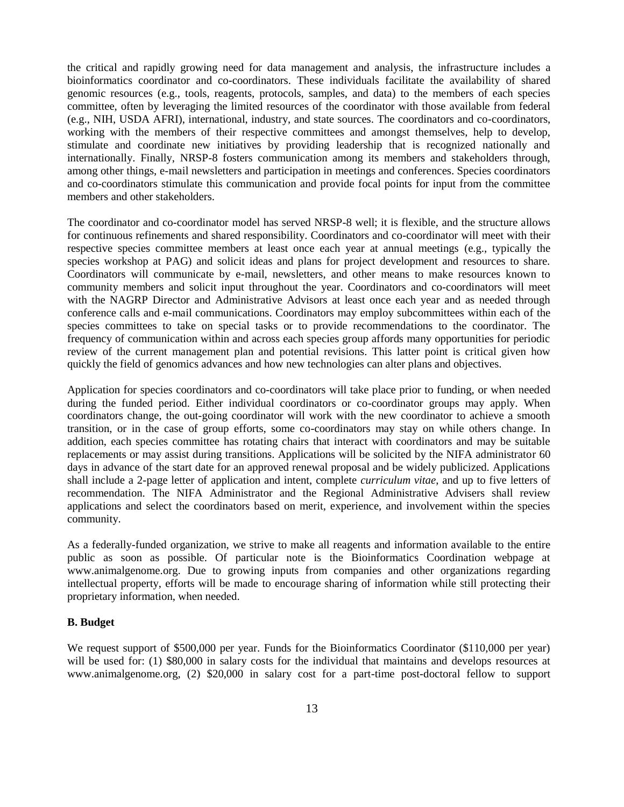the critical and rapidly growing need for data management and analysis, the infrastructure includes a bioinformatics coordinator and co-coordinators. These individuals facilitate the availability of shared genomic resources (e.g., tools, reagents, protocols, samples, and data) to the members of each species committee, often by leveraging the limited resources of the coordinator with those available from federal (e.g., NIH, USDA AFRI), international, industry, and state sources. The coordinators and co-coordinators, working with the members of their respective committees and amongst themselves, help to develop, stimulate and coordinate new initiatives by providing leadership that is recognized nationally and internationally. Finally, NRSP-8 fosters communication among its members and stakeholders through, among other things, e-mail newsletters and participation in meetings and conferences. Species coordinators and co-coordinators stimulate this communication and provide focal points for input from the committee members and other stakeholders.

The coordinator and co-coordinator model has served NRSP-8 well; it is flexible, and the structure allows for continuous refinements and shared responsibility. Coordinators and co-coordinator will meet with their respective species committee members at least once each year at annual meetings (e.g., typically the species workshop at PAG) and solicit ideas and plans for project development and resources to share. Coordinators will communicate by e-mail, newsletters, and other means to make resources known to community members and solicit input throughout the year. Coordinators and co-coordinators will meet with the NAGRP Director and Administrative Advisors at least once each year and as needed through conference calls and e-mail communications. Coordinators may employ subcommittees within each of the species committees to take on special tasks or to provide recommendations to the coordinator. The frequency of communication within and across each species group affords many opportunities for periodic review of the current management plan and potential revisions. This latter point is critical given how quickly the field of genomics advances and how new technologies can alter plans and objectives.

Application for species coordinators and co-coordinators will take place prior to funding, or when needed during the funded period. Either individual coordinators or co-coordinator groups may apply. When coordinators change, the out-going coordinator will work with the new coordinator to achieve a smooth transition, or in the case of group efforts, some co-coordinators may stay on while others change. In addition, each species committee has rotating chairs that interact with coordinators and may be suitable replacements or may assist during transitions. Applications will be solicited by the NIFA administrator 60 days in advance of the start date for an approved renewal proposal and be widely publicized. Applications shall include a 2-page letter of application and intent, complete *curriculum vitae*, and up to five letters of recommendation. The NIFA Administrator and the Regional Administrative Advisers shall review applications and select the coordinators based on merit, experience, and involvement within the species community.

As a federally-funded organization, we strive to make all reagents and information available to the entire public as soon as possible. Of particular note is the Bioinformatics Coordination webpage at www.animalgenome.org. Due to growing inputs from companies and other organizations regarding intellectual property, efforts will be made to encourage sharing of information while still protecting their proprietary information, when needed.

# **B. Budget**

We request support of \$500,000 per year. Funds for the Bioinformatics Coordinator (\$110,000 per year) will be used for: (1) \$80,000 in salary costs for the individual that maintains and develops resources at www.animalgenome.org, (2) \$20,000 in salary cost for a part-time post-doctoral fellow to support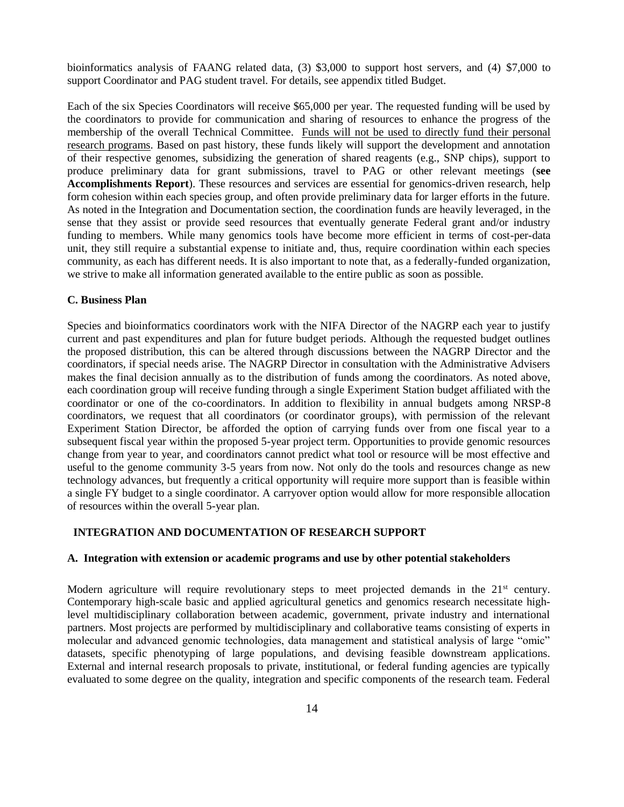bioinformatics analysis of FAANG related data, (3) \$3,000 to support host servers, and (4) \$7,000 to support Coordinator and PAG student travel. For details, see appendix titled Budget.

Each of the six Species Coordinators will receive \$65,000 per year. The requested funding will be used by the coordinators to provide for communication and sharing of resources to enhance the progress of the membership of the overall Technical Committee. Funds will not be used to directly fund their personal research programs. Based on past history, these funds likely will support the development and annotation of their respective genomes, subsidizing the generation of shared reagents (e.g., SNP chips), support to produce preliminary data for grant submissions, travel to PAG or other relevant meetings (**see Accomplishments Report**). These resources and services are essential for genomics-driven research, help form cohesion within each species group, and often provide preliminary data for larger efforts in the future. As noted in the Integration and Documentation section, the coordination funds are heavily leveraged, in the sense that they assist or provide seed resources that eventually generate Federal grant and/or industry funding to members. While many genomics tools have become more efficient in terms of cost-per-data unit, they still require a substantial expense to initiate and, thus, require coordination within each species community, as each has different needs. It is also important to note that, as a federally-funded organization, we strive to make all information generated available to the entire public as soon as possible.

### **C. Business Plan**

Species and bioinformatics coordinators work with the NIFA Director of the NAGRP each year to justify current and past expenditures and plan for future budget periods. Although the requested budget outlines the proposed distribution, this can be altered through discussions between the NAGRP Director and the coordinators, if special needs arise. The NAGRP Director in consultation with the Administrative Advisers makes the final decision annually as to the distribution of funds among the coordinators. As noted above, each coordination group will receive funding through a single Experiment Station budget affiliated with the coordinator or one of the co-coordinators. In addition to flexibility in annual budgets among NRSP-8 coordinators, we request that all coordinators (or coordinator groups), with permission of the relevant Experiment Station Director, be afforded the option of carrying funds over from one fiscal year to a subsequent fiscal year within the proposed 5-year project term. Opportunities to provide genomic resources change from year to year, and coordinators cannot predict what tool or resource will be most effective and useful to the genome community 3-5 years from now. Not only do the tools and resources change as new technology advances, but frequently a critical opportunity will require more support than is feasible within a single FY budget to a single coordinator. A carryover option would allow for more responsible allocation of resources within the overall 5-year plan.

# **INTEGRATION AND DOCUMENTATION OF RESEARCH SUPPORT**

### **A. Integration with extension or academic programs and use by other potential stakeholders**

Modern agriculture will require revolutionary steps to meet projected demands in the 21<sup>st</sup> century. Contemporary high-scale basic and applied agricultural genetics and genomics research necessitate highlevel multidisciplinary collaboration between academic, government, private industry and international partners. Most projects are performed by multidisciplinary and collaborative teams consisting of experts in molecular and advanced genomic technologies, data management and statistical analysis of large "omic" datasets, specific phenotyping of large populations, and devising feasible downstream applications. External and internal research proposals to private, institutional, or federal funding agencies are typically evaluated to some degree on the quality, integration and specific components of the research team. Federal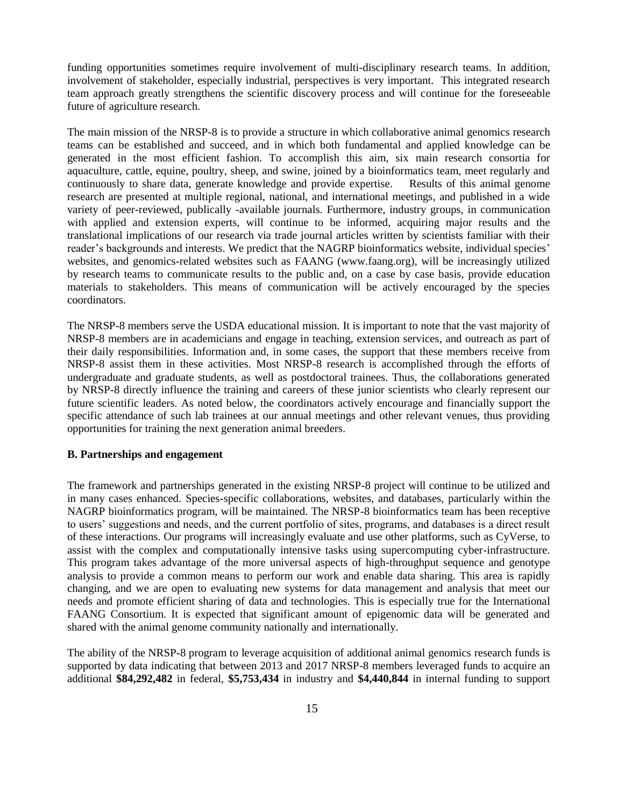funding opportunities sometimes require involvement of multi-disciplinary research teams. In addition, involvement of stakeholder, especially industrial, perspectives is very important. This integrated research team approach greatly strengthens the scientific discovery process and will continue for the foreseeable future of agriculture research.

The main mission of the NRSP-8 is to provide a structure in which collaborative animal genomics research teams can be established and succeed, and in which both fundamental and applied knowledge can be generated in the most efficient fashion. To accomplish this aim, six main research consortia for aquaculture, cattle, equine, poultry, sheep, and swine, joined by a bioinformatics team, meet regularly and continuously to share data, generate knowledge and provide expertise. Results of this animal genome research are presented at multiple regional, national, and international meetings, and published in a wide variety of peer-reviewed, publically -available journals. Furthermore, industry groups, in communication with applied and extension experts, will continue to be informed, acquiring major results and the translational implications of our research via trade journal articles written by scientists familiar with their reader's backgrounds and interests. We predict that the NAGRP bioinformatics website, individual species' websites, and genomics-related websites such as FAANG (www.faang.org), will be increasingly utilized by research teams to communicate results to the public and, on a case by case basis, provide education materials to stakeholders. This means of communication will be actively encouraged by the species coordinators.

The NRSP-8 members serve the USDA educational mission. It is important to note that the vast majority of NRSP-8 members are in academicians and engage in teaching, extension services, and outreach as part of their daily responsibilities. Information and, in some cases, the support that these members receive from NRSP-8 assist them in these activities. Most NRSP-8 research is accomplished through the efforts of undergraduate and graduate students, as well as postdoctoral trainees. Thus, the collaborations generated by NRSP-8 directly influence the training and careers of these junior scientists who clearly represent our future scientific leaders. As noted below, the coordinators actively encourage and financially support the specific attendance of such lab trainees at our annual meetings and other relevant venues, thus providing opportunities for training the next generation animal breeders.

# **B. Partnerships and engagement**

The framework and partnerships generated in the existing NRSP-8 project will continue to be utilized and in many cases enhanced. Species-specific collaborations, websites, and databases, particularly within the NAGRP bioinformatics program, will be maintained. The NRSP-8 bioinformatics team has been receptive to users' suggestions and needs, and the current portfolio of sites, programs, and databases is a direct result of these interactions. Our programs will increasingly evaluate and use other platforms, such as CyVerse, to assist with the complex and computationally intensive tasks using supercomputing cyber-infrastructure. This program takes advantage of the more universal aspects of high-throughput sequence and genotype analysis to provide a common means to perform our work and enable data sharing. This area is rapidly changing, and we are open to evaluating new systems for data management and analysis that meet our needs and promote efficient sharing of data and technologies. This is especially true for the International FAANG Consortium. It is expected that significant amount of epigenomic data will be generated and shared with the animal genome community nationally and internationally.

The ability of the NRSP-8 program to leverage acquisition of additional animal genomics research funds is supported by data indicating that between 2013 and 2017 NRSP-8 members leveraged funds to acquire an additional **\$84,292,482** in federal, **\$5,753,434** in industry and **\$4,440,844** in internal funding to support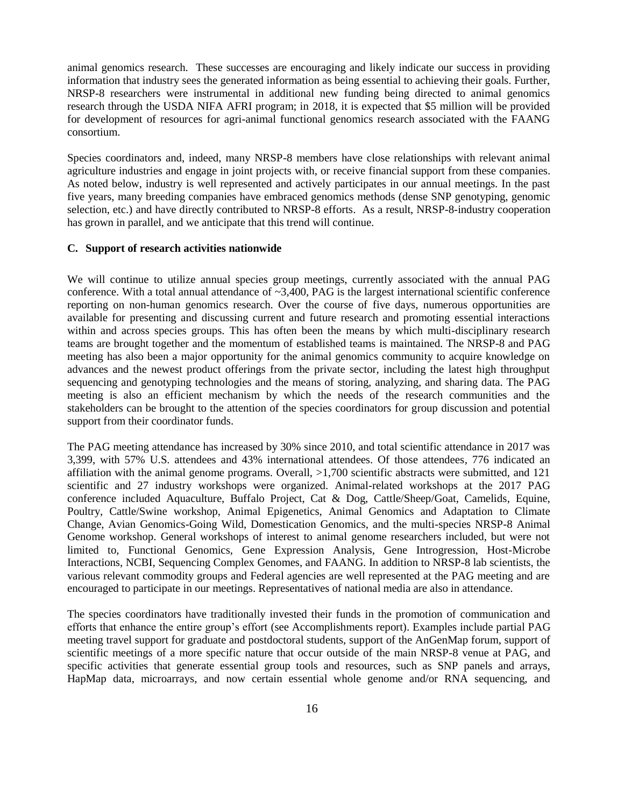animal genomics research. These successes are encouraging and likely indicate our success in providing information that industry sees the generated information as being essential to achieving their goals. Further, NRSP-8 researchers were instrumental in additional new funding being directed to animal genomics research through the USDA NIFA AFRI program; in 2018, it is expected that \$5 million will be provided for development of resources for agri-animal functional genomics research associated with the FAANG consortium.

Species coordinators and, indeed, many NRSP-8 members have close relationships with relevant animal agriculture industries and engage in joint projects with, or receive financial support from these companies. As noted below, industry is well represented and actively participates in our annual meetings. In the past five years, many breeding companies have embraced genomics methods (dense SNP genotyping, genomic selection, etc.) and have directly contributed to NRSP-8 efforts. As a result, NRSP-8-industry cooperation has grown in parallel, and we anticipate that this trend will continue.

# **C. Support of research activities nationwide**

We will continue to utilize annual species group meetings, currently associated with the annual PAG conference. With a total annual attendance of  $\sim 3,400$ , PAG is the largest international scientific conference reporting on non-human genomics research. Over the course of five days, numerous opportunities are available for presenting and discussing current and future research and promoting essential interactions within and across species groups. This has often been the means by which multi-disciplinary research teams are brought together and the momentum of established teams is maintained. The NRSP-8 and PAG meeting has also been a major opportunity for the animal genomics community to acquire knowledge on advances and the newest product offerings from the private sector, including the latest high throughput sequencing and genotyping technologies and the means of storing, analyzing, and sharing data. The PAG meeting is also an efficient mechanism by which the needs of the research communities and the stakeholders can be brought to the attention of the species coordinators for group discussion and potential support from their coordinator funds.

The PAG meeting attendance has increased by 30% since 2010, and total scientific attendance in 2017 was 3,399, with 57% U.S. attendees and 43% international attendees. Of those attendees, 776 indicated an affiliation with the animal genome programs. Overall, >1,700 scientific abstracts were submitted, and 121 scientific and 27 industry workshops were organized. Animal-related workshops at the 2017 PAG conference included Aquaculture, Buffalo Project, Cat & Dog, Cattle/Sheep/Goat, Camelids, Equine, Poultry, Cattle/Swine workshop, Animal Epigenetics, Animal Genomics and Adaptation to Climate Change, Avian Genomics-Going Wild, Domestication Genomics, and the multi-species NRSP-8 Animal Genome workshop. General workshops of interest to animal genome researchers included, but were not limited to, Functional Genomics, Gene Expression Analysis, Gene Introgression, Host-Microbe Interactions, NCBI, Sequencing Complex Genomes, and FAANG. In addition to NRSP-8 lab scientists, the various relevant commodity groups and Federal agencies are well represented at the PAG meeting and are encouraged to participate in our meetings. Representatives of national media are also in attendance.

The species coordinators have traditionally invested their funds in the promotion of communication and efforts that enhance the entire group's effort (see Accomplishments report). Examples include partial PAG meeting travel support for graduate and postdoctoral students, support of the AnGenMap forum, support of scientific meetings of a more specific nature that occur outside of the main NRSP-8 venue at PAG, and specific activities that generate essential group tools and resources, such as SNP panels and arrays, HapMap data, microarrays, and now certain essential whole genome and/or RNA sequencing, and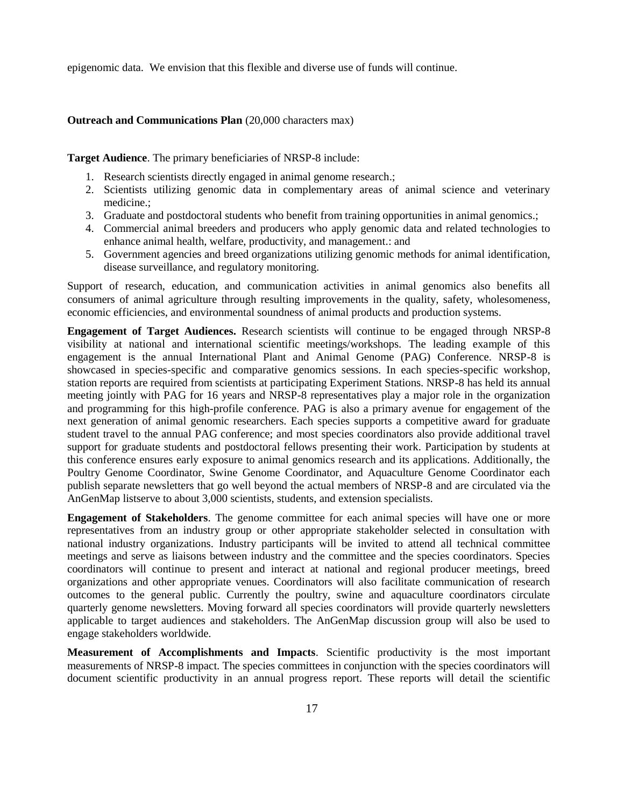epigenomic data. We envision that this flexible and diverse use of funds will continue.

### **Outreach and Communications Plan** (20,000 characters max)

**Target Audience**. The primary beneficiaries of NRSP-8 include:

- 1. Research scientists directly engaged in animal genome research.;
- 2. Scientists utilizing genomic data in complementary areas of animal science and veterinary medicine.;
- 3. Graduate and postdoctoral students who benefit from training opportunities in animal genomics.;
- 4. Commercial animal breeders and producers who apply genomic data and related technologies to enhance animal health, welfare, productivity, and management.: and
- 5. Government agencies and breed organizations utilizing genomic methods for animal identification, disease surveillance, and regulatory monitoring.

Support of research, education, and communication activities in animal genomics also benefits all consumers of animal agriculture through resulting improvements in the quality, safety, wholesomeness, economic efficiencies, and environmental soundness of animal products and production systems.

**Engagement of Target Audiences.** Research scientists will continue to be engaged through NRSP-8 visibility at national and international scientific meetings/workshops. The leading example of this engagement is the annual International Plant and Animal Genome (PAG) Conference. NRSP-8 is showcased in species-specific and comparative genomics sessions. In each species-specific workshop, station reports are required from scientists at participating Experiment Stations. NRSP-8 has held its annual meeting jointly with PAG for 16 years and NRSP-8 representatives play a major role in the organization and programming for this high-profile conference. PAG is also a primary avenue for engagement of the next generation of animal genomic researchers. Each species supports a competitive award for graduate student travel to the annual PAG conference; and most species coordinators also provide additional travel support for graduate students and postdoctoral fellows presenting their work. Participation by students at this conference ensures early exposure to animal genomics research and its applications. Additionally, the Poultry Genome Coordinator, Swine Genome Coordinator, and Aquaculture Genome Coordinator each publish separate newsletters that go well beyond the actual members of NRSP-8 and are circulated via the AnGenMap listserve to about 3,000 scientists, students, and extension specialists.

**Engagement of Stakeholders**. The genome committee for each animal species will have one or more representatives from an industry group or other appropriate stakeholder selected in consultation with national industry organizations. Industry participants will be invited to attend all technical committee meetings and serve as liaisons between industry and the committee and the species coordinators. Species coordinators will continue to present and interact at national and regional producer meetings, breed organizations and other appropriate venues. Coordinators will also facilitate communication of research outcomes to the general public. Currently the poultry, swine and aquaculture coordinators circulate quarterly genome newsletters. Moving forward all species coordinators will provide quarterly newsletters applicable to target audiences and stakeholders. The AnGenMap discussion group will also be used to engage stakeholders worldwide.

**Measurement of Accomplishments and Impacts**. Scientific productivity is the most important measurements of NRSP-8 impact. The species committees in conjunction with the species coordinators will document scientific productivity in an annual progress report. These reports will detail the scientific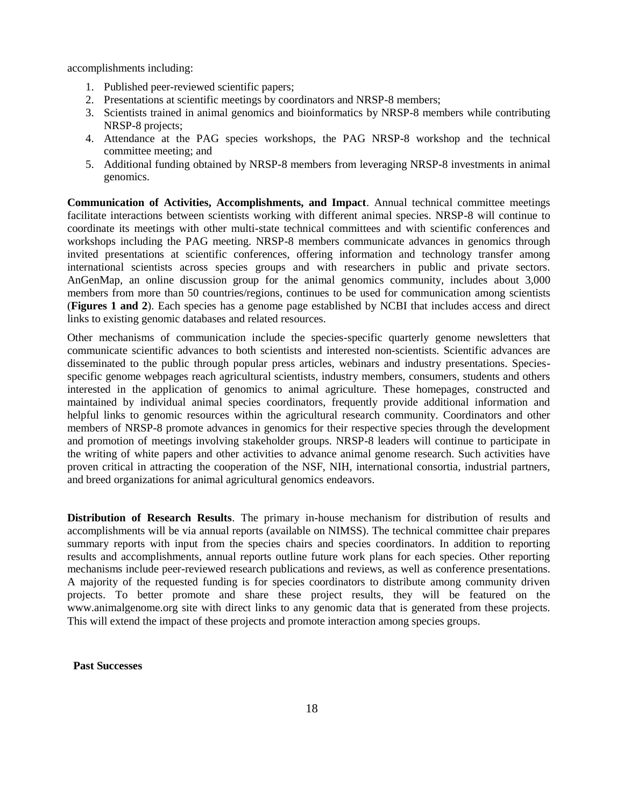accomplishments including:

- 1. Published peer-reviewed scientific papers;
- 2. Presentations at scientific meetings by coordinators and NRSP-8 members;
- 3. Scientists trained in animal genomics and bioinformatics by NRSP-8 members while contributing NRSP-8 projects;
- 4. Attendance at the PAG species workshops, the PAG NRSP-8 workshop and the technical committee meeting; and
- 5. Additional funding obtained by NRSP-8 members from leveraging NRSP-8 investments in animal genomics.

**Communication of Activities, Accomplishments, and Impact**. Annual technical committee meetings facilitate interactions between scientists working with different animal species. NRSP-8 will continue to coordinate its meetings with other multi-state technical committees and with scientific conferences and workshops including the PAG meeting. NRSP-8 members communicate advances in genomics through invited presentations at scientific conferences, offering information and technology transfer among international scientists across species groups and with researchers in public and private sectors. AnGenMap, an online discussion group for the animal genomics community, includes about 3,000 members from more than 50 countries/regions, continues to be used for communication among scientists (**Figures 1 and 2**). Each species has a genome page established by NCBI that includes access and direct links to existing genomic databases and related resources.

Other mechanisms of communication include the species-specific quarterly genome newsletters that communicate scientific advances to both scientists and interested non-scientists. Scientific advances are disseminated to the public through popular press articles, webinars and industry presentations. Speciesspecific genome webpages reach agricultural scientists, industry members, consumers, students and others interested in the application of genomics to animal agriculture. These homepages, constructed and maintained by individual animal species coordinators, frequently provide additional information and helpful links to genomic resources within the agricultural research community. Coordinators and other members of NRSP-8 promote advances in genomics for their respective species through the development and promotion of meetings involving stakeholder groups. NRSP-8 leaders will continue to participate in the writing of white papers and other activities to advance animal genome research. Such activities have proven critical in attracting the cooperation of the NSF, NIH, international consortia, industrial partners, and breed organizations for animal agricultural genomics endeavors.

**Distribution of Research Results**. The primary in-house mechanism for distribution of results and accomplishments will be via annual reports (available on NIMSS). The technical committee chair prepares summary reports with input from the species chairs and species coordinators. In addition to reporting results and accomplishments, annual reports outline future work plans for each species. Other reporting mechanisms include peer-reviewed research publications and reviews, as well as conference presentations. A majority of the requested funding is for species coordinators to distribute among community driven projects. To better promote and share these project results, they will be featured on the www.animalgenome.org site with direct links to any genomic data that is generated from these projects. This will extend the impact of these projects and promote interaction among species groups.

**Past Successes**